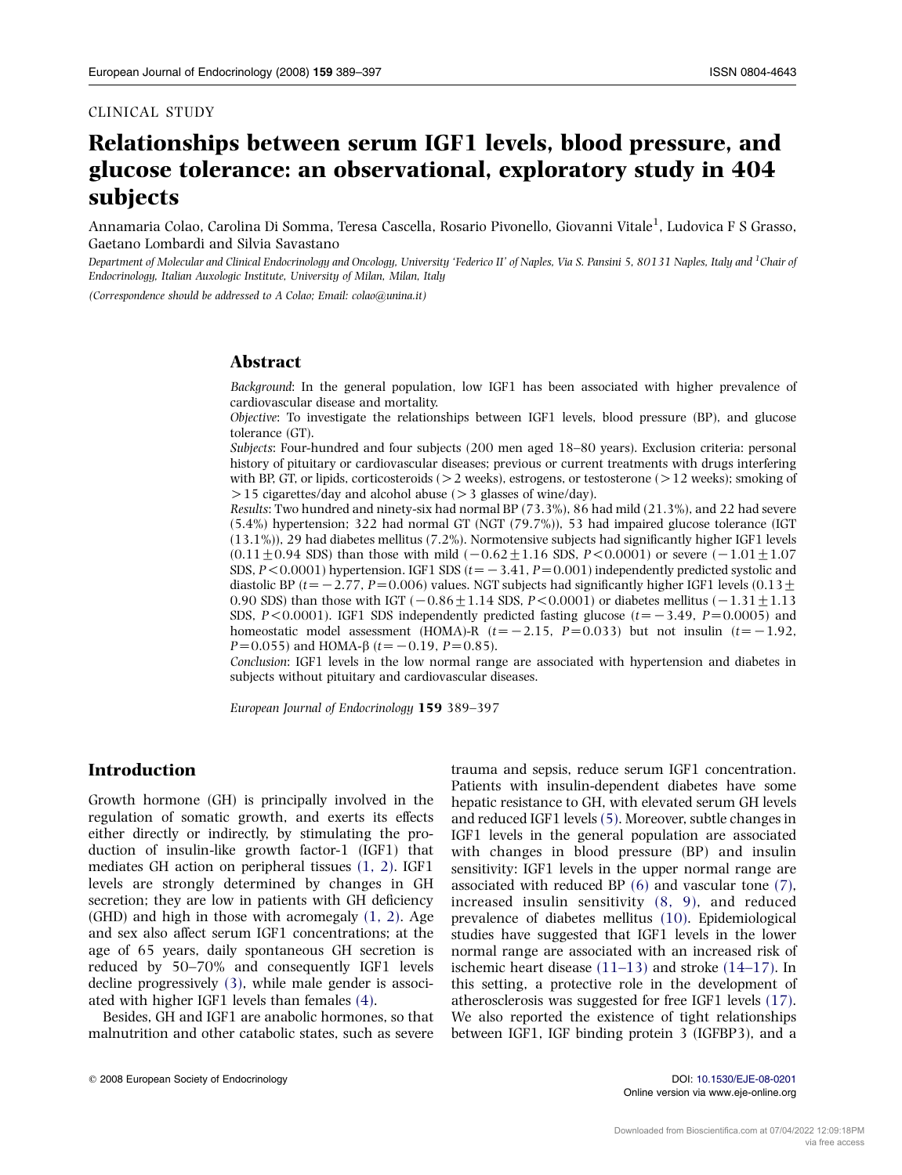# Relationships between serum IGF1 levels, blood pressure, and glucose tolerance: an observational, exploratory study in 404 subjects

Annamaria Colao, Carolina Di Somma, Teresa Cascella, Rosario Pivonello, Giovanni Vitale<sup>1</sup>, Ludovica F S Grasso, Gaetano Lombardi and Silvia Savastano

Department of Molecular and Clinical Endocrinology and Oncology, University 'Federico II' of Naples, Via S. Pansini 5, 80131 Naples, Italy and <sup>1</sup>Chair of Endocrinology, Italian Auxologic Institute, University of Milan, Milan, Italy

(Correspondence should be addressed to A Colao; Email: colao@unina.it)

## Abstract

Background: In the general population, low IGF1 has been associated with higher prevalence of cardiovascular disease and mortality.

Objective: To investigate the relationships between IGF1 levels, blood pressure (BP), and glucose tolerance (GT).

Subjects: Four-hundred and four subjects (200 men aged 18–80 years). Exclusion criteria: personal history of pituitary or cardiovascular diseases; previous or current treatments with drugs interfering with BP, GT, or lipids, corticosteroids ( $>2$  weeks), estrogens, or testosterone ( $>12$  weeks); smoking of  $>$ 15 cigarettes/day and alcohol abuse ( $>$ 3 glasses of wine/day).

Results: Two hundred and ninety-six had normal BP (73.3%), 86 had mild (21.3%), and 22 had severe (5.4%) hypertension; 322 had normal GT (NGT (79.7%)), 53 had impaired glucose tolerance (IGT (13.1%)), 29 had diabetes mellitus (7.2%). Normotensive subjects had significantly higher IGF1 levels  $(0.11 \pm 0.94$  SDS) than those with mild  $(-0.62 \pm 1.16$  SDS, P<0.0001) or severe  $(-1.01 \pm 1.07$ SDS,  $P \le 0.0001$ ) hypertension. IGF1 SDS ( $t = -3.41$ ,  $P = 0.001$ ) independently predicted systolic and diastolic BP (t= - 2.77, P= 0.006) values. NGT subjects had significantly higher IGF1 levels (0.13  $\pm$ 0.90 SDS) than those with IGT  $(-0.86 \pm 1.14 \text{ SDS}, P < 0.0001)$  or diabetes mellitus  $(-1.31 \pm 1.13$ SDS,  $P < 0.0001$ ). IGF1 SDS independently predicted fasting glucose ( $t = -3.49$ ,  $P = 0.0005$ ) and homeostatic model assessment (HOMA)-R  $(t=-2.15, P=0.033)$  but not insulin  $(t=-1.92,$  $P=0.055$ ) and HOMA- $\beta$  (t= -0.19, P=0.85).

Conclusion: IGF1 levels in the low normal range are associated with hypertension and diabetes in subjects without pituitary and cardiovascular diseases.

European Journal of Endocrinology 159 389–397

# Introduction

Growth hormone (GH) is principally involved in the regulation of somatic growth, and exerts its effects either directly or indirectly, by stimulating the production of insulin-like growth factor-1 (IGF1) that mediates GH action on peripheral tissues [\(1, 2\).](#page-7-0) IGF1 levels are strongly determined by changes in GH secretion; they are low in patients with GH deficiency (GHD) and high in those with acromegaly [\(1, 2\)](#page-7-0). Age and sex also affect serum IGF1 concentrations; at the age of 65 years, daily spontaneous GH secretion is reduced by 50–70% and consequently IGF1 levels decline progressively [\(3\),](#page-7-0) while male gender is associated with higher IGF1 levels than females [\(4\)](#page-7-0).

Besides, GH and IGF1 are anabolic hormones, so that malnutrition and other catabolic states, such as severe Patients with insulin-dependent diabetes have some hepatic resistance to GH, with elevated serum GH levels and reduced IGF1 levels [\(5\).](#page-7-0) Moreover, subtle changes in IGF1 levels in the general population are associated with changes in blood pressure (BP) and insulin sensitivity: IGF1 levels in the upper normal range are associated with reduced BP [\(6\)](#page-7-0) and vascular tone [\(7\)](#page-7-0), increased insulin sensitivity [\(8, 9\),](#page-7-0) and reduced prevalence of diabetes mellitus [\(10\)](#page-7-0). Epidemiological studies have suggested that IGF1 levels in the lower normal range are associated with an increased risk of ischemic heart disease  $(11-13)$  and stroke  $(14-17)$ . In this setting, a protective role in the development of atherosclerosis was suggested for free IGF1 levels [\(17\)](#page-7-0). We also reported the existence of tight relationships between IGF1, IGF binding protein 3 (IGFBP3), and a

trauma and sepsis, reduce serum IGF1 concentration.

Online version via www.eje-online.org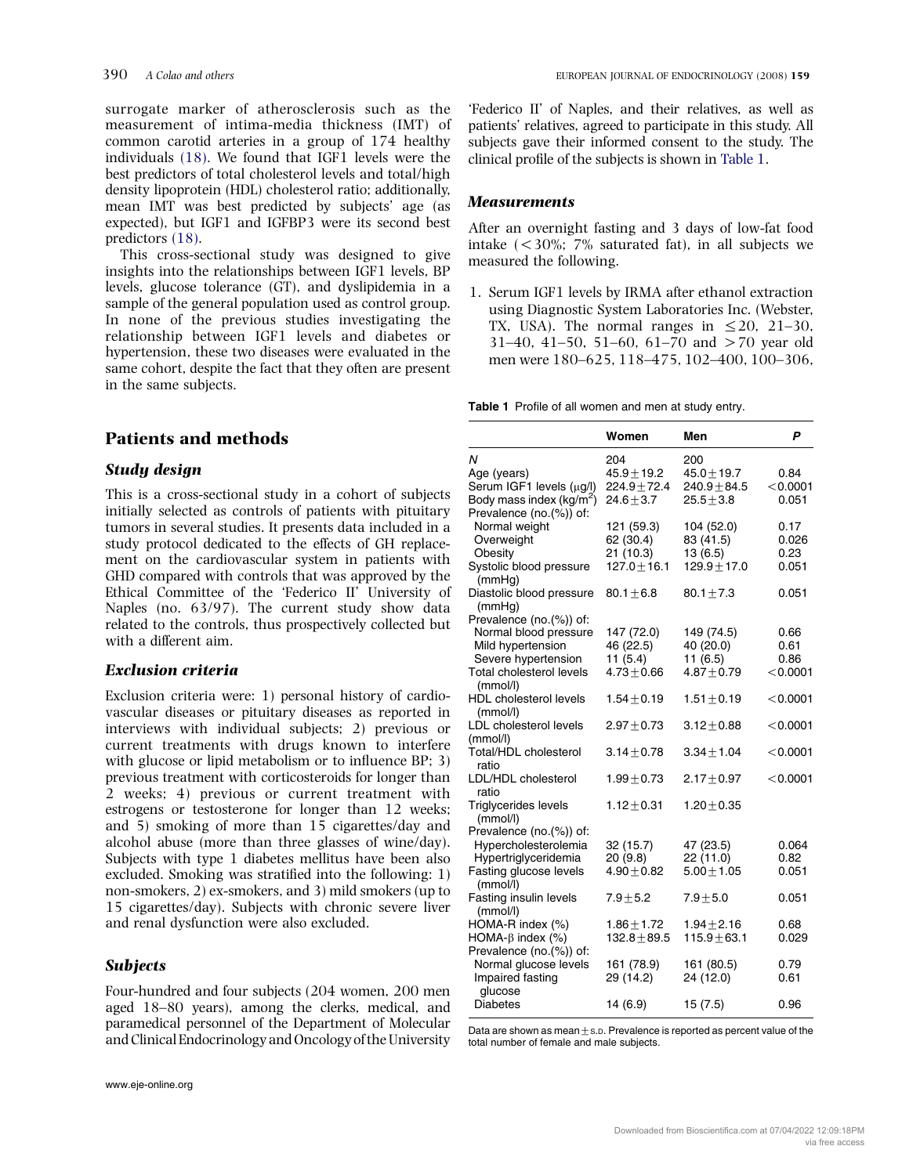<span id="page-1-0"></span>surrogate marker of atherosclerosis such as the measurement of intima-media thickness (IMT) of common carotid arteries in a group of 174 healthy individuals [\(18\).](#page-7-0) We found that IGF1 levels were the best predictors of total cholesterol levels and total/high density lipoprotein (HDL) cholesterol ratio; additionally, mean IMT was best predicted by subjects' age (as expected), but IGF1 and IGFBP3 were its second best predictors [\(18\)](#page-7-0).

This cross-sectional study was designed to give insights into the relationships between IGF1 levels, BP levels, glucose tolerance (GT), and dyslipidemia in a sample of the general population used as control group. In none of the previous studies investigating the relationship between IGF1 levels and diabetes or hypertension, these two diseases were evaluated in the same cohort, despite the fact that they often are present in the same subjects.

# Patients and methods

## Study design

This is a cross-sectional study in a cohort of subjects initially selected as controls of patients with pituitary tumors in several studies. It presents data included in a study protocol dedicated to the effects of GH replacement on the cardiovascular system in patients with GHD compared with controls that was approved by the Ethical Committee of the 'Federico II' University of Naples (no. 63/97). The current study show data related to the controls, thus prospectively collected but with a different aim.

# Exclusion criteria

Exclusion criteria were: 1) personal history of cardiovascular diseases or pituitary diseases as reported in interviews with individual subjects; 2) previous or current treatments with drugs known to interfere with glucose or lipid metabolism or to influence BP: 3) previous treatment with corticosteroids for longer than 2 weeks; 4) previous or current treatment with estrogens or testosterone for longer than 12 weeks; and 5) smoking of more than 15 cigarettes/day and alcohol abuse (more than three glasses of wine/day). Subjects with type 1 diabetes mellitus have been also excluded. Smoking was stratified into the following: 1) non-smokers, 2) ex-smokers, and 3) mild smokers (up to 15 cigarettes/day). Subjects with chronic severe liver and renal dysfunction were also excluded.

#### **Subjects**

Four-hundred and four subjects (204 women, 200 men aged 18–80 years), among the clerks, medical, and paramedical personnel of the Department of Molecular and Clinical Endocrinology and Oncologyof the University

'Federico II' of Naples, and their relatives, as well as patients' relatives, agreed to participate in this study. All subjects gave their informed consent to the study. The clinical profile of the subjects is shown in Table 1.

## **Measurements**

After an overnight fasting and 3 days of low-fat food intake  $\left($  < 30%; 7% saturated fat), in all subjects we measured the following.

1. Serum IGF1 levels by IRMA after ethanol extraction using Diagnostic System Laboratories Inc. (Webster, TX, USA). The normal ranges in  $\leq 20$ , 21–30, 31–40, 41–50, 51–60, 61–70 and  $>70$  year old men were 180–625, 118–475, 102–400, 100–306,

Table 1 Profile of all women and men at study entry.

|                                      | Women            | Men              | Ρ          |
|--------------------------------------|------------------|------------------|------------|
| N                                    | 204              | 200              |            |
| Age (years)                          | $45.9 \pm 19.2$  | $45.0 \pm 19.7$  | 0.84       |
| Serum IGF1 levels (µg/l)             | $224.9 + 72.4$   | $240.9 + 84.5$   | < 0.0001   |
| Body mass index (kg/m <sup>2</sup> ) | $24.6 + 3.7$     | $25.5 + 3.8$     | 0.051      |
| Prevalence (no.(%)) of:              |                  |                  |            |
| Normal weight                        | 121 (59.3)       | 104 (52.0)       | 0.17       |
| Overweight                           | 62 (30.4)        | 83 (41.5)        | 0.026      |
| Obesity                              | 21 (10.3)        | 13 (6.5)         | 0.23       |
| Systolic blood pressure              | $127.0 + 16.1$   | $129.9 \pm 17.0$ | 0.051      |
| (mmHq)                               |                  |                  |            |
| Diastolic blood pressure             | $80.1 + 6.8$     | $80.1 \pm 7.3$   | 0.051      |
| (mmHg)                               |                  |                  |            |
| Prevalence (no.(%)) of:              |                  |                  |            |
| Normal blood pressure                | 147 (72.0)       | 149 (74.5)       | 0.66       |
| Mild hypertension                    | 46 (22.5)        | 40 (20.0)        | 0.61       |
| Severe hypertension                  | 11(5.4)          | 11 (6.5)         | 0.86       |
| Total cholesterol levels             | $4.73 + 0.66$    | $4.87 + 0.79$    | < 0.0001   |
| (mmol/l)                             |                  |                  |            |
| <b>HDL</b> cholesterol levels        | $1.54 + 0.19$    | $1.51 + 0.19$    | < 0.0001   |
| (mmol/l)                             |                  |                  |            |
| LDL cholesterol levels               | $2.97 + 0.73$    | $3.12 + 0.88$    | $<$ 0.0001 |
| (mmol/l)                             |                  |                  |            |
| Total/HDL cholesterol                | $3.14 + 0.78$    | $3.34 + 1.04$    | $<$ 0.0001 |
| ratio                                |                  |                  |            |
| LDL/HDL cholesterol                  | $1.99 + 0.73$    | $2.17 + 0.97$    | $<$ 0.0001 |
| ratio                                |                  |                  |            |
| <b>Triglycerides levels</b>          | $1.12 + 0.31$    | $1.20 + 0.35$    |            |
| (mmol/l)                             |                  |                  |            |
| Prevalence (no.(%)) of:              |                  |                  |            |
| Hypercholesterolemia                 | 32 (15.7)        | 47 (23.5)        | 0.064      |
| Hypertriglyceridemia                 | 20 (9.8)         | 22 (11.0)        | 0.82       |
| Fasting glucose levels               | $4.90 + 0.82$    | $5.00 + 1.05$    | 0.051      |
| (mmol/l)                             |                  |                  | 0.051      |
| Fasting insulin levels<br>(mmol/l)   | $7.9 + 5.2$      | $7.9 \pm 5.0$    |            |
| HOMA-R index (%)                     | $1.86 + 1.72$    | $1.94 \pm 2.16$  | 0.68       |
| HOMA- $\beta$ index (%)              | $132.8 \pm 89.5$ | $115.9 \pm 63.1$ | 0.029      |
| Prevalence (no.(%)) of:              |                  |                  |            |
| Normal glucose levels                | 161 (78.9)       | 161 (80.5)       | 0.79       |
| Impaired fasting                     | 29 (14.2)        | 24 (12.0)        | 0.61       |
| glucose                              |                  |                  |            |
| <b>Diabetes</b>                      | 14 (6.9)         | 15 (7.5)         | 0.96       |
|                                      |                  |                  |            |

Data are shown as mean $\pm$ s.p. Prevalence is reported as percent value of the total number of female and male subjects.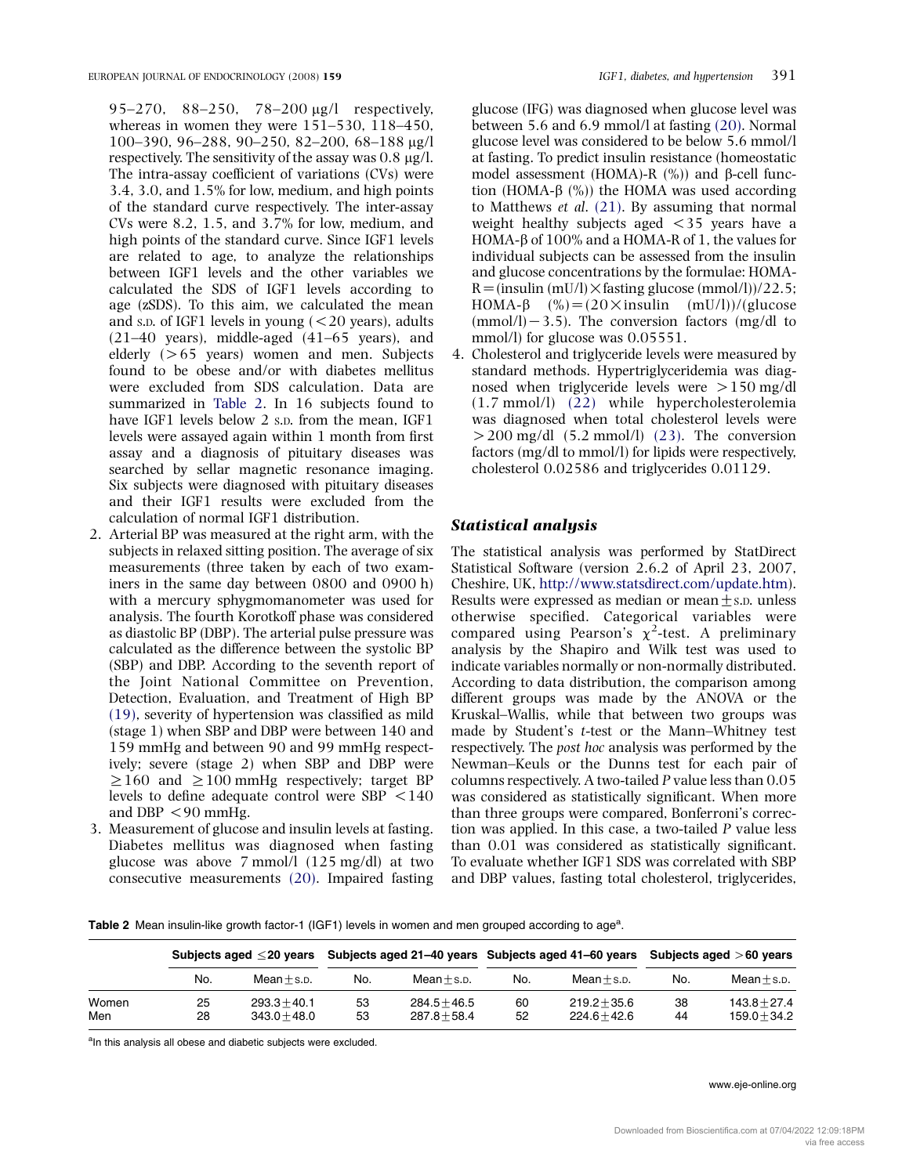95–270, 88–250, 78–200 mg/l respectively, whereas in women they were 151–530, 118–450, 100–390, 96–288, 90–250, 82–200, 68–188 mg/l respectively. The sensitivity of the assay was  $0.8 \mu g/l$ . The intra-assay coefficient of variations (CVs) were 3.4, 3.0, and 1.5% for low, medium, and high points of the standard curve respectively. The inter-assay CVs were 8.2, 1.5, and 3.7% for low, medium, and high points of the standard curve. Since IGF1 levels are related to age, to analyze the relationships between IGF1 levels and the other variables we calculated the SDS of IGF1 levels according to age (zSDS). To this aim, we calculated the mean and s.p. of IGF1 levels in young  $( $20$  years), adults$ (21–40 years), middle-aged (41–65 years), and elderly  $(>65$  years) women and men. Subjects found to be obese and/or with diabetes mellitus were excluded from SDS calculation. Data are summarized in Table 2. In 16 subjects found to have IGF1 levels below 2 S.D. from the mean, IGF1 levels were assayed again within 1 month from first assay and a diagnosis of pituitary diseases was searched by sellar magnetic resonance imaging. Six subjects were diagnosed with pituitary diseases and their IGF1 results were excluded from the calculation of normal IGF1 distribution.

- 2. Arterial BP was measured at the right arm, with the subjects in relaxed sitting position. The average of six measurements (three taken by each of two examiners in the same day between 0800 and 0900 h) with a mercury sphygmomanometer was used for analysis. The fourth Korotkoff phase was considered as diastolic BP (DBP). The arterial pulse pressure was calculated as the difference between the systolic BP (SBP) and DBP. According to the seventh report of the Joint National Committee on Prevention, Detection, Evaluation, and Treatment of High BP [\(19\),](#page-7-0) severity of hypertension was classified as mild (stage 1) when SBP and DBP were between 140 and 159 mmHg and between 90 and 99 mmHg respectively; severe (stage 2) when SBP and DBP were  $\geq$ 160 and  $\geq$ 100 mmHg respectively; target BP levels to define adequate control were  $SBP < 140$ and DBP  $<$ 90 mmHg.
- 3. Measurement of glucose and insulin levels at fasting. Diabetes mellitus was diagnosed when fasting glucose was above 7 mmol/l (125 mg/dl) at two consecutive measurements [\(20\)](#page-7-0). Impaired fasting

glucose (IFG) was diagnosed when glucose level was between 5.6 and 6.9 mmol/l at fasting [\(20\).](#page-7-0) Normal glucose level was considered to be below 5.6 mmol/l at fasting. To predict insulin resistance (homeostatic model assessment (HOMA)-R  $(\%)$ ) and  $\beta$ -cell function (HOMA- $\beta$  (%)) the HOMA was used according to Matthews et al. [\(21\).](#page-7-0) By assuming that normal weight healthy subjects aged  $\langle 35 \rangle$  years have a HOMA- $\beta$  of 100% and a HOMA-R of 1, the values for individual subjects can be assessed from the insulin and glucose concentrations by the formulae: HOMA- $R = (insulin (mU/I) \times$  fasting glucose  $(mmol/I))/22.5$ ; HOMA- $\beta$  (%) = (20  $\times$  insulin (mU/l))/(glucose  $(mmol/l) - 3.5)$ . The conversion factors  $(mg/dl$  to mmol/l) for glucose was 0.05551.

4. Cholesterol and triglyceride levels were measured by standard methods. Hypertriglyceridemia was diagnosed when triglyceride levels were  $> 150$  mg/dl (1.7 mmol/l) [\(22\)](#page-7-0) while hypercholesterolemia was diagnosed when total cholesterol levels were  $>$  200 mg/dl (5.2 mmol/l) [\(23\)](#page-7-0). The conversion factors (mg/dl to mmol/l) for lipids were respectively, cholesterol 0.02586 and triglycerides 0.01129.

#### Statistical analysis

The statistical analysis was performed by StatDirect Statistical Software (version 2.6.2 of April 23, 2007, Cheshire, UK, <http://www.statsdirect.com/update.htm>). Results were expressed as median or mean $\pm$ s.p. unless otherwise specified. Categorical variables were compared using Pearson's  $\chi^2$ -test. A preliminary analysis by the Shapiro and Wilk test was used to indicate variables normally or non-normally distributed. According to data distribution, the comparison among different groups was made by the ANOVA or the Kruskal–Wallis, while that between two groups was made by Student's t-test or the Mann–Whitney test respectively. The post hoc analysis was performed by the Newman–Keuls or the Dunns test for each pair of columns respectively. A two-tailed P value less than 0.05 was considered as statistically significant. When more than three groups were compared, Bonferroni's correction was applied. In this case, a two-tailed P value less than 0.01 was considered as statistically significant. To evaluate whether IGF1 SDS was correlated with SBP and DBP values, fasting total cholesterol, triglycerides,

Table 2 Mean insulin-like growth factor-1 (IGF1) levels in women and men grouped according to age<sup>a</sup>.

|              | Subjects aged $\leq$ 20 vears |                                  | Subjects aged 21–40 years Subjects aged 41–60 years |                                  |          |                                  | Subjects aged $>60$ years |                                  |
|--------------|-------------------------------|----------------------------------|-----------------------------------------------------|----------------------------------|----------|----------------------------------|---------------------------|----------------------------------|
|              | No.                           | $Mean + s.p.$                    | No.                                                 | $Mean + s.p.$                    | No.      | $Mean \pm s.p.$                  | No.                       | $Mean + s.p.$                    |
| Women<br>Men | 25<br>28                      | $293.3 + 40.1$<br>$343.0 + 48.0$ | 53<br>53                                            | $284.5 + 46.5$<br>$287.8 + 58.4$ | 60<br>52 | $219.2 + 35.6$<br>$224.6 + 42.6$ | 38<br>44                  | $143.8 + 27.4$<br>$159.0 + 34.2$ |

<sup>a</sup>In this analysis all obese and diabetic subjects were excluded.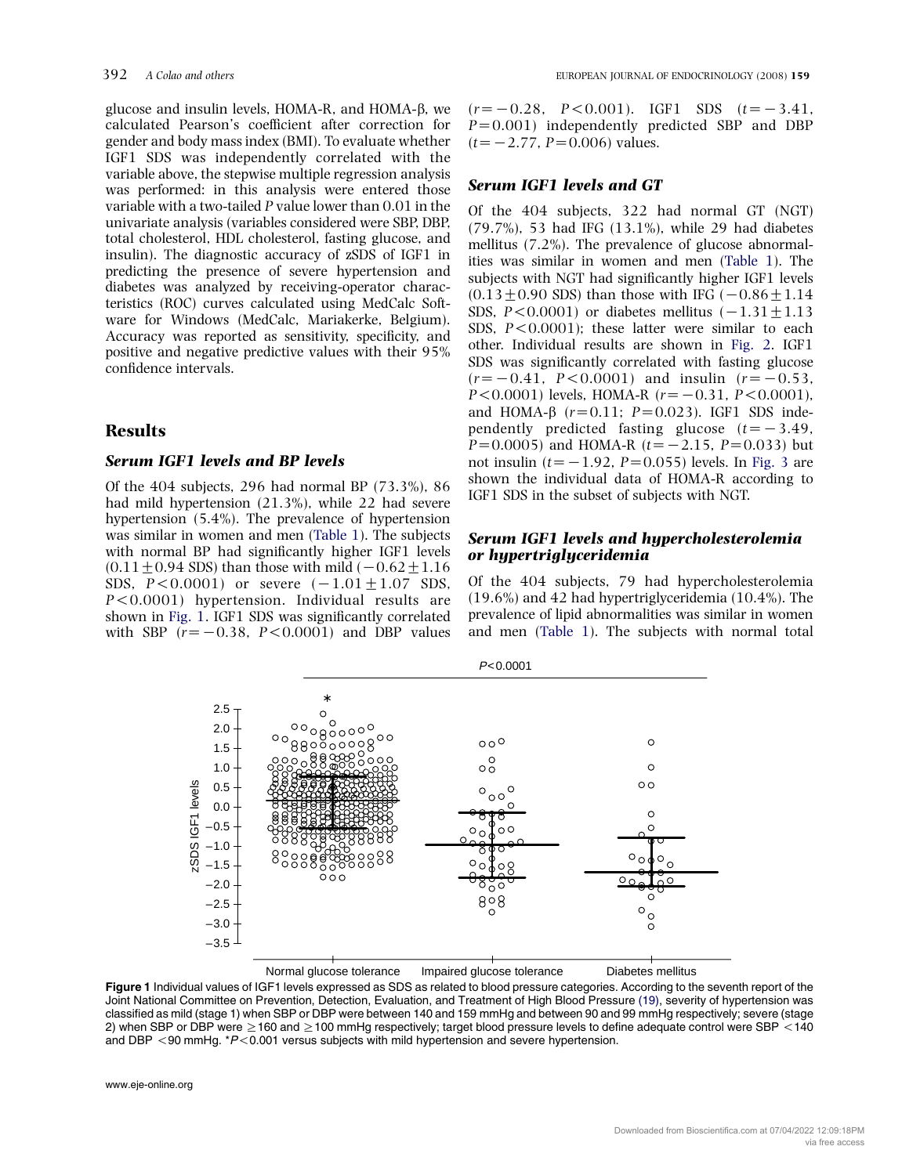glucose and insulin levels, HOMA-R, and HOMA-b, we calculated Pearson's coefficient after correction for gender and body mass index (BMI). To evaluate whether IGF1 SDS was independently correlated with the variable above, the stepwise multiple regression analysis was performed: in this analysis were entered those variable with a two-tailed P value lower than 0.01 in the univariate analysis (variables considered were SBP, DBP, total cholesterol, HDL cholesterol, fasting glucose, and insulin). The diagnostic accuracy of zSDS of IGF1 in predicting the presence of severe hypertension and diabetes was analyzed by receiving-operator characteristics (ROC) curves calculated using MedCalc Software for Windows (MedCalc, Mariakerke, Belgium). Accuracy was reported as sensitivity, specificity, and positive and negative predictive values with their 95% confidence intervals.

# **Results**

## Serum IGF1 levels and BP levels

Of the 404 subjects, 296 had normal BP (73.3%), 86 had mild hypertension (21.3%), while 22 had severe hypertension (5.4%). The prevalence of hypertension was similar in women and men ([Table 1](#page-1-0)). The subjects with normal BP had significantly higher IGF1 levels  $(0.11 \pm 0.94$  SDS) than those with mild  $(-0.62 \pm 1.16$ SDS,  $P < 0.0001$ ) or severe  $(-1.01 \pm 1.07 \, \text{SDS})$ ,  $P < 0.0001$ ) hypertension. Individual results are shown in Fig. 1. IGF1 SDS was significantly correlated with SBP  $(r=-0.38, P<0.0001)$  and DBP values

 $(r=-0.28, P<0.001)$ . IGF1 SDS  $(t=-3.41,$  $P=0.001$ ) independently predicted SBP and DBP  $(t=-2.77, P=0.006)$  values.

## Serum IGF1 levels and GT

Of the 404 subjects, 322 had normal GT (NGT) (79.7%), 53 had IFG (13.1%), while 29 had diabetes mellitus (7.2%). The prevalence of glucose abnormalities was similar in women and men [\(Table 1\)](#page-1-0). The subjects with NGT had significantly higher IGF1 levels  $(0.13 \pm 0.90$  SDS) than those with IFG  $(-0.86 \pm 1.14)$ SDS,  $P < 0.0001$ ) or diabetes mellitus  $(-1.31 + 1.13$ SDS,  $P < 0.0001$ ); these latter were similar to each other. Individual results are shown in [Fig. 2.](#page-4-0) IGF1 SDS was significantly correlated with fasting glucose  $(r=-0.41, P<0.0001)$  and insulin  $(r=-0.53, P<0.6001)$  $P < 0.0001$ ) levels, HOMA-R ( $r = -0.31$ ,  $P < 0.0001$ ), and HOMA- $\beta$  ( $r=0.11$ ;  $P=0.023$ ). IGF1 SDS independently predicted fasting glucose  $(t=-3.49,$  $P=0.0005$ ) and HOMA-R ( $t=-2.15$ ,  $P=0.033$ ) but not insulin ( $t=-1.92$ ,  $P=0.055$ ) levels. In [Fig. 3](#page-4-0) are shown the individual data of HOMA-R according to IGF1 SDS in the subset of subjects with NGT.

#### Serum IGF1 levels and hypercholesterolemia or hypertriglyceridemia

Of the 404 subjects, 79 had hypercholesterolemia (19.6%) and 42 had hypertriglyceridemia (10.4%). The prevalence of lipid abnormalities was similar in women and men ([Table 1](#page-1-0)). The subjects with normal total



Figure 1 Individual values of IGF1 levels expressed as SDS as related to blood pressure categories. According to the seventh report of the Joint National Committee on Prevention, Detection, Evaluation, and Treatment of High Blood Pressure [\(19\)](#page-7-0), severity of hypertension was classified as mild (stage 1) when SBP or DBP were between 140 and 159 mmHg and between 90 and 99 mmHg respectively; severe (stage 2) when SBP or DBP were  $\geq$  160 and  $\geq$  100 mmHg respectively; target blood pressure levels to define adequate control were SBP < 140 and DBP  $<$  90 mmHg.  $*P$  < 0.001 versus subjects with mild hypertension and severe hypertension.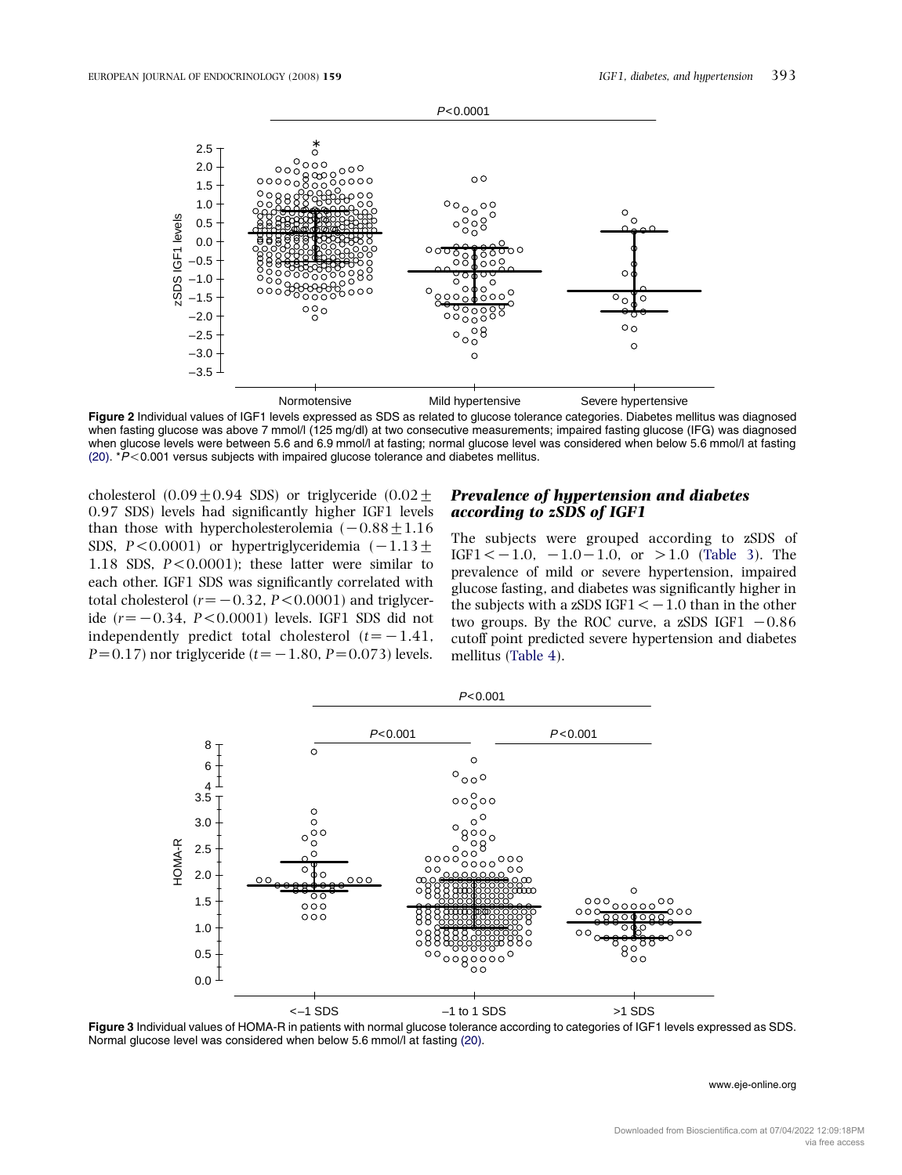<span id="page-4-0"></span>

Figure 2 Individual values of IGF1 levels expressed as SDS as related to glucose tolerance categories. Diabetes mellitus was diagnosed when fasting glucose was above 7 mmol/l (125 mg/dl) at two consecutive measurements; impaired fasting glucose (IFG) was diagnosed when glucose levels were between 5.6 and 6.9 mmol/l at fasting; normal glucose level was considered when below 5.6 mmol/l at fasting [\(20\).](#page-7-0)  $*P$  < 0.001 versus subjects with impaired glucose tolerance and diabetes mellitus.

cholesterol  $(0.09 \pm 0.94 \text{ SDS})$  or triglyceride  $(0.02 \pm$ 0.97 SDS) levels had significantly higher IGF1 levels than those with hypercholesterolemia  $(-0.88 \pm 1.16$ SDS, P<0.0001) or hypertriglyceridemia  $(-1.13 \pm 0.0001)$ 1.18 SDS,  $P < 0.0001$ ); these latter were similar to each other. IGF1 SDS was significantly correlated with total cholesterol ( $r=-0.32$ ,  $P < 0.0001$ ) and triglyceride  $(r=-0.34, P<0.0001)$  levels. IGF1 SDS did not independently predict total cholesterol  $(t=-1.41,$  $P=0.17$ ) nor triglyceride (t= -1.80, P=0.073) levels.

## Prevalence of hypertension and diabetes according to zSDS of IGF1

The subjects were grouped according to zSDS of  $IGF1 < -1.0, -1.0 - 1.0, \text{ or } >1.0 \text{ (Table 3).}$  $IGF1 < -1.0, -1.0 - 1.0, \text{ or } >1.0 \text{ (Table 3).}$  $IGF1 < -1.0, -1.0 - 1.0, \text{ or } >1.0 \text{ (Table 3).}$  The prevalence of mild or severe hypertension, impaired glucose fasting, and diabetes was significantly higher in the subjects with a zSDS IGF1  $<-1.0$  than in the other two groups. By the ROC curve, a zSDS IGF1  $-0.86$ cutoff point predicted severe hypertension and diabetes mellitus ([Table 4\)](#page-5-0).



Figure 3 Individual values of HOMA-R in patients with normal glucose tolerance according to categories of IGF1 levels expressed as SDS. Normal glucose level was considered when below 5.6 mmol/l at fasting [\(20\)](#page-7-0).

#### www.eje-online.org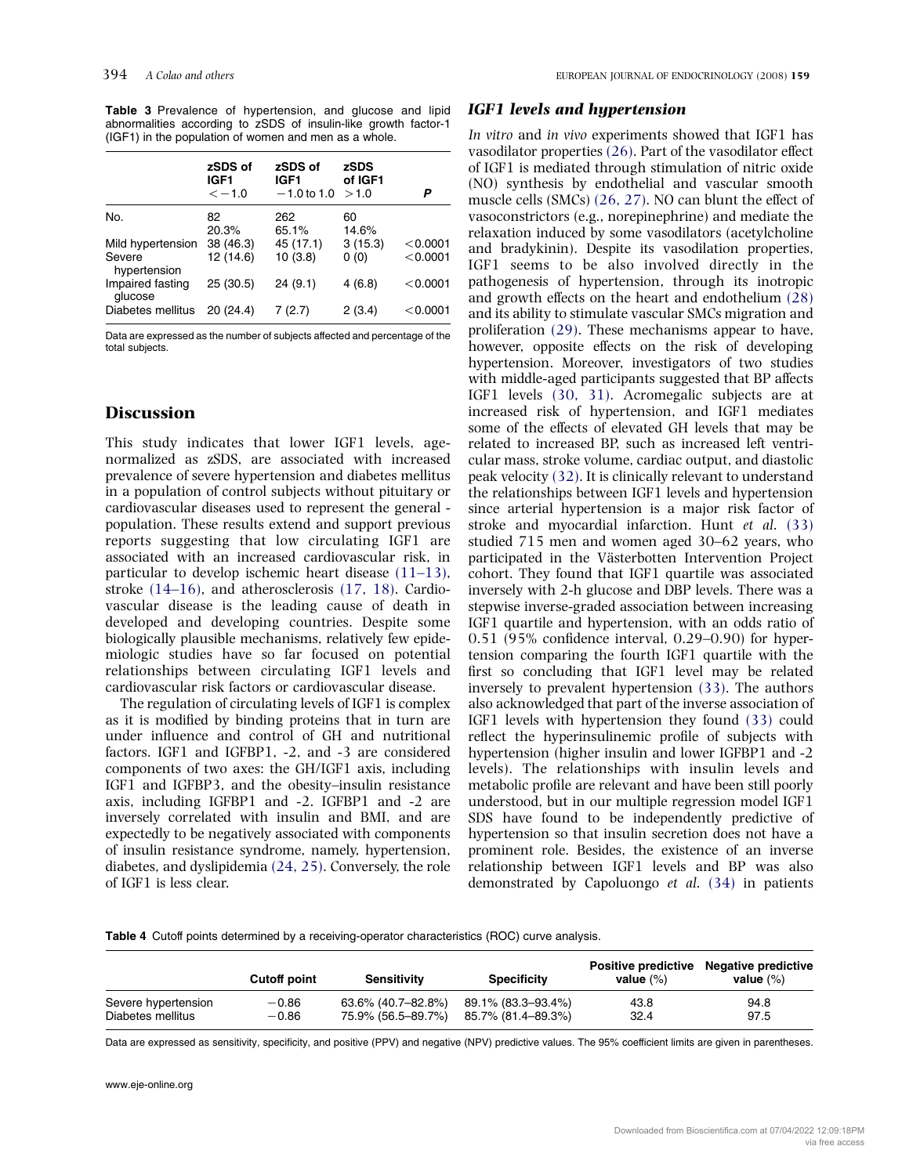<span id="page-5-0"></span>Table 3 Prevalence of hypertension, and glucose and lipid abnormalities according to zSDS of insulin-like growth factor-1 (IGF1) in the population of women and men as a whole.

|                                             | zSDS of<br>IGF <sub>1</sub><br>$\lt -1.0$ | zSDS of<br>IGF <sub>1</sub><br>$-1.0$ to 1.0 | zSDS<br>of IGF1<br>>1.0 | Р                    |
|---------------------------------------------|-------------------------------------------|----------------------------------------------|-------------------------|----------------------|
| No.                                         | 82<br>20.3%                               | 262<br>65.1%                                 | 60<br>14.6%             |                      |
| Mild hypertension<br>Severe<br>hypertension | 38 (46.3)<br>12 (14.6)                    | 45 (17.1)<br>10(3.8)                         | 3(15.3)<br>0(0)         | < 0.0001<br>< 0.0001 |
| Impaired fasting<br>glucose                 | 25 (30.5)                                 | 24(9.1)                                      | 4(6.8)                  | < 0.0001             |
| Diabetes mellitus                           | 20 (24.4)                                 | 7(2.7)                                       | 2(3.4)                  | < 0.0001             |

Data are expressed as the number of subjects affected and percentage of the total subjects.

#### **Discussion**

This study indicates that lower IGF1 levels, agenormalized as zSDS, are associated with increased prevalence of severe hypertension and diabetes mellitus in a population of control subjects without pituitary or cardiovascular diseases used to represent the general population. These results extend and support previous reports suggesting that low circulating IGF1 are associated with an increased cardiovascular risk, in particular to develop ischemic heart disease [\(11–13\),](#page-7-0) stroke [\(14–16\),](#page-7-0) and atherosclerosis [\(17, 18\).](#page-7-0) Cardiovascular disease is the leading cause of death in developed and developing countries. Despite some biologically plausible mechanisms, relatively few epidemiologic studies have so far focused on potential relationships between circulating IGF1 levels and cardiovascular risk factors or cardiovascular disease.

The regulation of circulating levels of IGF1 is complex as it is modified by binding proteins that in turn are under influence and control of GH and nutritional factors. IGF1 and IGFBP1, -2, and -3 are considered components of two axes: the GH/IGF1 axis, including IGF1 and IGFBP3, and the obesity–insulin resistance axis, including IGFBP1 and -2. IGFBP1 and -2 are inversely correlated with insulin and BMI, and are expectedly to be negatively associated with components of insulin resistance syndrome, namely, hypertension, diabetes, and dyslipidemia [\(24, 25\)](#page-7-0). Conversely, the role of IGF1 is less clear.

#### IGF1 levels and hypertension

In vitro and in vivo experiments showed that IGF1 has vasodilator properties [\(26\).](#page-7-0) Part of the vasodilator effect of IGF1 is mediated through stimulation of nitric oxide (NO) synthesis by endothelial and vascular smooth muscle cells (SMCs) [\(26, 27\)](#page-7-0). NO can blunt the effect of vasoconstrictors (e.g., norepinephrine) and mediate the relaxation induced by some vasodilators (acetylcholine and bradykinin). Despite its vasodilation properties, IGF1 seems to be also involved directly in the pathogenesis of hypertension, through its inotropic and growth effects on the heart and endothelium [\(28\)](#page-8-0) and its ability to stimulate vascular SMCs migration and proliferation [\(29\)](#page-8-0). These mechanisms appear to have, however, opposite effects on the risk of developing hypertension. Moreover, investigators of two studies with middle-aged participants suggested that BP affects IGF1 levels [\(30, 31\)](#page-8-0). Acromegalic subjects are at increased risk of hypertension, and IGF1 mediates some of the effects of elevated GH levels that may be related to increased BP, such as increased left ventricular mass, stroke volume, cardiac output, and diastolic peak velocity [\(32\)](#page-8-0). It is clinically relevant to understand the relationships between IGF1 levels and hypertension since arterial hypertension is a major risk factor of stroke and myocardial infarction. Hunt et al. [\(33\)](#page-8-0) studied 715 men and women aged 30–62 years, who participated in the Västerbotten Intervention Project cohort. They found that IGF1 quartile was associated inversely with 2-h glucose and DBP levels. There was a stepwise inverse-graded association between increasing IGF1 quartile and hypertension, with an odds ratio of 0.51 (95% confidence interval, 0.29–0.90) for hypertension comparing the fourth IGF1 quartile with the first so concluding that IGF1 level may be related inversely to prevalent hypertension [\(33\)](#page-8-0). The authors also acknowledged that part of the inverse association of IGF1 levels with hypertension they found [\(33\)](#page-8-0) could reflect the hyperinsulinemic profile of subjects with hypertension (higher insulin and lower IGFBP1 and -2 levels). The relationships with insulin levels and metabolic profile are relevant and have been still poorly understood, but in our multiple regression model IGF1 SDS have found to be independently predictive of hypertension so that insulin secretion does not have a prominent role. Besides, the existence of an inverse relationship between IGF1 levels and BP was also demonstrated by Capoluongo et al. [\(34\)](#page-8-0) in patients

Table 4 Cutoff points determined by a receiving-operator characteristics (ROC) curve analysis.

|                     | <b>Cutoff point</b> | <b>Sensitivity</b> | <b>Specificity</b> | value $(\%)$ | Positive predictive Negative predictive<br>value $(\%)$ |
|---------------------|---------------------|--------------------|--------------------|--------------|---------------------------------------------------------|
| Severe hypertension | $-0.86$             | 63.6% (40.7-82.8%) | 89.1% (83.3–93.4%) | 43.8         | 94.8                                                    |
| Diabetes mellitus   | $-0.86$             | 75.9% (56.5–89.7%) | 85.7% (81.4–89.3%) | 32.4         | 97.5                                                    |

Data are expressed as sensitivity, specificity, and positive (PPV) and negative (NPV) predictive values. The 95% coefficient limits are given in parentheses.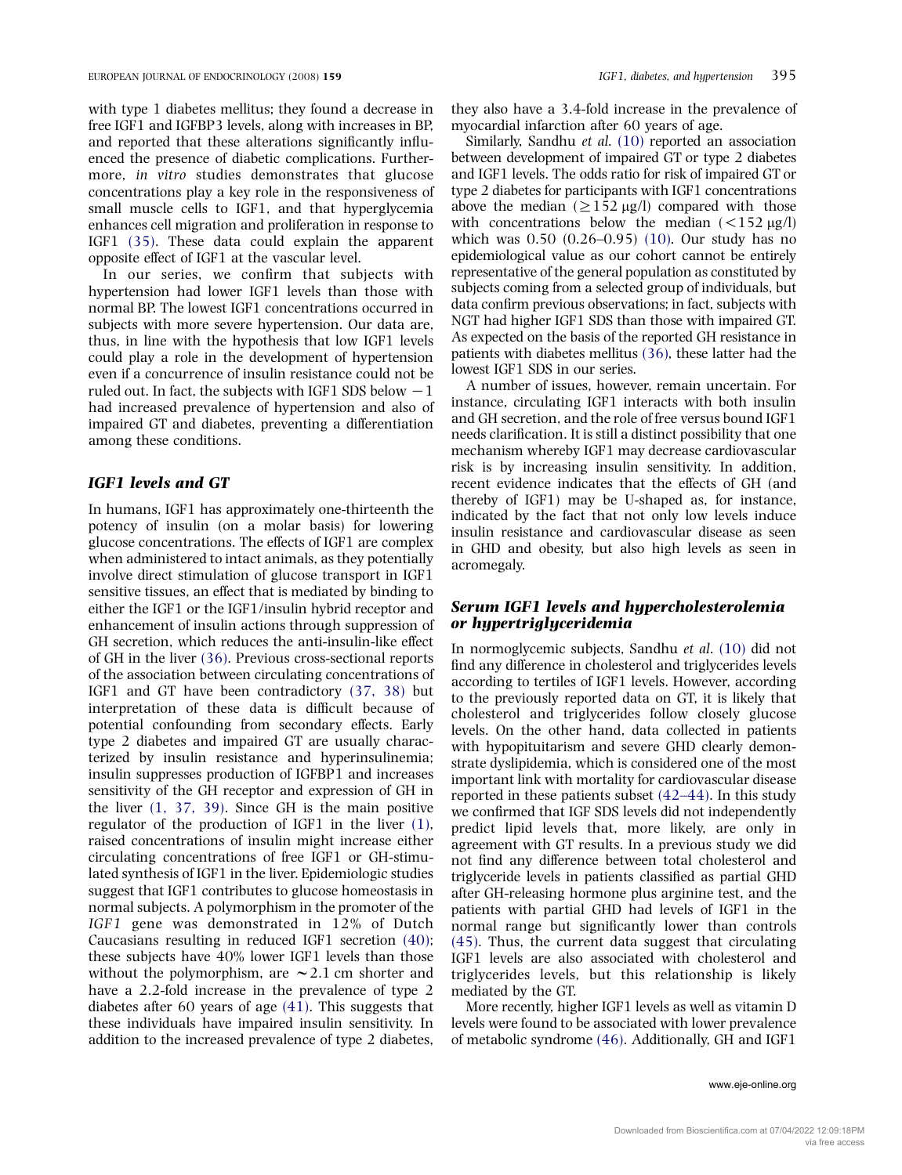with type 1 diabetes mellitus; they found a decrease in free IGF1 and IGFBP3 levels, along with increases in BP, and reported that these alterations significantly influenced the presence of diabetic complications. Furthermore, in vitro studies demonstrates that glucose concentrations play a key role in the responsiveness of small muscle cells to IGF1, and that hyperglycemia enhances cell migration and proliferation in response to IGF1 [\(35\).](#page-8-0) These data could explain the apparent opposite effect of IGF1 at the vascular level.

In our series, we confirm that subjects with hypertension had lower IGF1 levels than those with normal BP. The lowest IGF1 concentrations occurred in subjects with more severe hypertension. Our data are, thus, in line with the hypothesis that low IGF1 levels could play a role in the development of hypertension even if a concurrence of insulin resistance could not be ruled out. In fact, the subjects with IGF1 SDS below  $-1$ had increased prevalence of hypertension and also of impaired GT and diabetes, preventing a differentiation among these conditions.

#### IGF1 levels and GT

In humans, IGF1 has approximately one-thirteenth the potency of insulin (on a molar basis) for lowering glucose concentrations. The effects of IGF1 are complex when administered to intact animals, as they potentially involve direct stimulation of glucose transport in IGF1 sensitive tissues, an effect that is mediated by binding to either the IGF1 or the IGF1/insulin hybrid receptor and enhancement of insulin actions through suppression of GH secretion, which reduces the anti-insulin-like effect of GH in the liver [\(36\).](#page-8-0) Previous cross-sectional reports of the association between circulating concentrations of IGF1 and GT have been contradictory [\(37, 38\)](#page-8-0) but interpretation of these data is difficult because of potential confounding from secondary effects. Early type 2 diabetes and impaired GT are usually characterized by insulin resistance and hyperinsulinemia; insulin suppresses production of IGFBP1 and increases sensitivity of the GH receptor and expression of GH in the liver [\(1, 37, 39\).](#page-7-0) Since GH is the main positive regulator of the production of IGF1 in the liver [\(1\)](#page-7-0), raised concentrations of insulin might increase either circulating concentrations of free IGF1 or GH-stimulated synthesis of IGF1 in the liver. Epidemiologic studies suggest that IGF1 contributes to glucose homeostasis in normal subjects. A polymorphism in the promoter of the IGF1 gene was demonstrated in 12% of Dutch Caucasians resulting in reduced IGF1 secretion [\(40\)](#page-8-0); these subjects have 40% lower IGF1 levels than those without the polymorphism, are  $\sim$  2.1 cm shorter and have a 2.2-fold increase in the prevalence of type 2 diabetes after 60 years of age [\(41\).](#page-8-0) This suggests that these individuals have impaired insulin sensitivity. In addition to the increased prevalence of type 2 diabetes,

they also have a 3.4-fold increase in the prevalence of myocardial infarction after 60 years of age.

Similarly, Sandhu et al. [\(10\)](#page-7-0) reported an association between development of impaired GT or type 2 diabetes and IGF1 levels. The odds ratio for risk of impaired GT or type 2 diabetes for participants with IGF1 concentrations above the median  $(\geq 152 \,\mu g/l)$  compared with those with concentrations below the median  $(<152 \text{ µg/l})$ which was 0.50 (0.26–0.95) [\(10\).](#page-7-0) Our study has no epidemiological value as our cohort cannot be entirely representative of the general population as constituted by subjects coming from a selected group of individuals, but data confirm previous observations; in fact, subjects with NGT had higher IGF1 SDS than those with impaired GT. As expected on the basis of the reported GH resistance in patients with diabetes mellitus [\(36\)](#page-8-0), these latter had the lowest IGF1 SDS in our series.

A number of issues, however, remain uncertain. For instance, circulating IGF1 interacts with both insulin and GH secretion, and the role of free versus bound IGF1 needs clarification. It is still a distinct possibility that one mechanism whereby IGF1 may decrease cardiovascular risk is by increasing insulin sensitivity. In addition, recent evidence indicates that the effects of GH (and thereby of IGF1) may be U-shaped as, for instance, indicated by the fact that not only low levels induce insulin resistance and cardiovascular disease as seen in GHD and obesity, but also high levels as seen in acromegaly.

#### Serum IGF1 levels and hypercholesterolemia or hypertriglyceridemia

In normoglycemic subjects, Sandhu et al. [\(10\)](#page-7-0) did not find any difference in cholesterol and triglycerides levels according to tertiles of IGF1 levels. However, according to the previously reported data on GT, it is likely that cholesterol and triglycerides follow closely glucose levels. On the other hand, data collected in patients with hypopituitarism and severe GHD clearly demonstrate dyslipidemia, which is considered one of the most important link with mortality for cardiovascular disease reported in these patients subset [\(42–44\)](#page-8-0). In this study we confirmed that IGF SDS levels did not independently predict lipid levels that, more likely, are only in agreement with GT results. In a previous study we did not find any difference between total cholesterol and triglyceride levels in patients classified as partial GHD after GH-releasing hormone plus arginine test, and the patients with partial GHD had levels of IGF1 in the normal range but significantly lower than controls [\(45\).](#page-8-0) Thus, the current data suggest that circulating IGF1 levels are also associated with cholesterol and triglycerides levels, but this relationship is likely mediated by the GT.

More recently, higher IGF1 levels as well as vitamin D levels were found to be associated with lower prevalence of metabolic syndrome [\(46\)](#page-8-0). Additionally, GH and IGF1

www.eje-online.org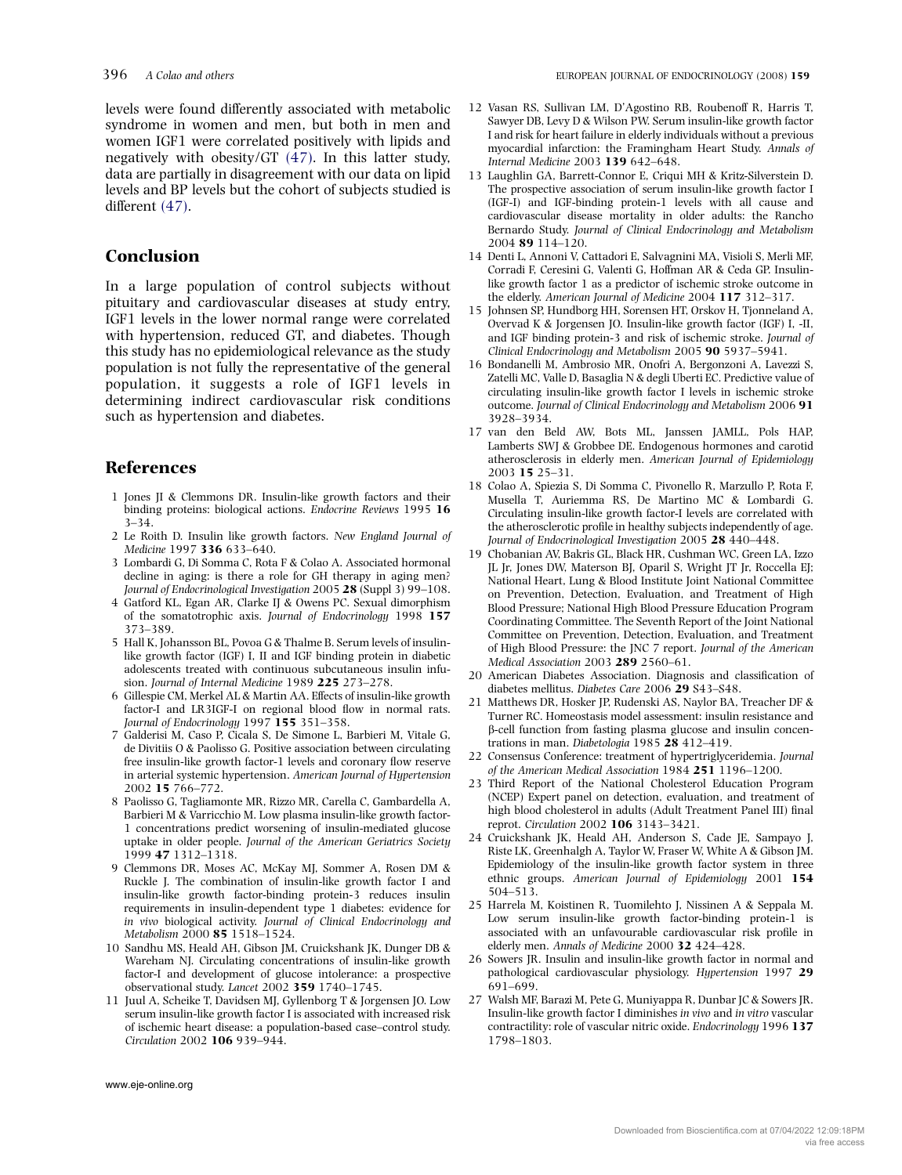<span id="page-7-0"></span>levels were found differently associated with metabolic syndrome in women and men, but both in men and women IGF1 were correlated positively with lipids and negatively with obesity/GT [\(47\)](#page-8-0). In this latter study, data are partially in disagreement with our data on lipid levels and BP levels but the cohort of subjects studied is different [\(47\).](#page-8-0)

## Conclusion

In a large population of control subjects without pituitary and cardiovascular diseases at study entry, IGF1 levels in the lower normal range were correlated with hypertension, reduced GT, and diabetes. Though this study has no epidemiological relevance as the study population is not fully the representative of the general population, it suggests a role of IGF1 levels in determining indirect cardiovascular risk conditions such as hypertension and diabetes.

# References

- 1 Jones JI & Clemmons DR. Insulin-like growth factors and their binding proteins: biological actions. Endocrine Reviews 1995 16 3–34.
- 2 Le Roith D. Insulin like growth factors. New England Journal of Medicine 1997 336 633–640.
- 3 Lombardi G, Di Somma C, Rota F & Colao A. Associated hormonal decline in aging: is there a role for GH therapy in aging men? Journal of Endocrinological Investigation 2005 28 (Suppl 3) 99–108.
- 4 Gatford KL, Egan AR, Clarke IJ & Owens PC. Sexual dimorphism of the somatotrophic axis. Journal of Endocrinology 1998 157 373–389.
- 5 Hall K, Johansson BL, Povoa G & Thalme B. Serum levels of insulinlike growth factor (IGF) I, II and IGF binding protein in diabetic adolescents treated with continuous subcutaneous insulin infusion. Journal of Internal Medicine 1989 225 273–278.
- 6 Gillespie CM, Merkel AL & Martin AA. Effects of insulin-like growth factor-I and LR3IGF-I on regional blood flow in normal rats. Journal of Endocrinology 1997 155 351-358.
- 7 Galderisi M, Caso P, Cicala S, De Simone L, Barbieri M, Vitale G, de Divitiis O & Paolisso G. Positive association between circulating free insulin-like growth factor-1 levels and coronary flow reserve in arterial systemic hypertension. American Journal of Hypertension 2002 15 766–772.
- 8 Paolisso G, Tagliamonte MR, Rizzo MR, Carella C, Gambardella A, Barbieri M & Varricchio M. Low plasma insulin-like growth factor-1 concentrations predict worsening of insulin-mediated glucose uptake in older people. Journal of the American Geriatrics Society 1999 47 1312–1318.
- 9 Clemmons DR, Moses AC, McKay MJ, Sommer A, Rosen DM & Ruckle J. The combination of insulin-like growth factor I and insulin-like growth factor-binding protein-3 reduces insulin requirements in insulin-dependent type 1 diabetes: evidence for in vivo biological activity. Journal of Clinical Endocrinology and Metabolism 2000 85 1518–1524.
- 10 Sandhu MS, Heald AH, Gibson JM, Cruickshank JK, Dunger DB & Wareham NJ. Circulating concentrations of insulin-like growth factor-I and development of glucose intolerance: a prospective observational study. Lancet 2002 359 1740–1745.
- 11 Juul A, Scheike T, Davidsen MJ, Gyllenborg T & Jorgensen JO. Low serum insulin-like growth factor I is associated with increased risk of ischemic heart disease: a population-based case–control study. Circulation 2002 106 939–944.
- 12 Vasan RS, Sullivan LM, D'Agostino RB, Roubenoff R, Harris T, Sawyer DB, Levy D & Wilson PW. Serum insulin-like growth factor I and risk for heart failure in elderly individuals without a previous myocardial infarction: the Framingham Heart Study. Annals of Internal Medicine 2003 139 642–648.
- 13 Laughlin GA, Barrett-Connor E, Criqui MH & Kritz-Silverstein D. The prospective association of serum insulin-like growth factor I (IGF-I) and IGF-binding protein-1 levels with all cause and cardiovascular disease mortality in older adults: the Rancho Bernardo Study. Journal of Clinical Endocrinology and Metabolism 2004 89 114–120.
- 14 Denti L, Annoni V, Cattadori E, Salvagnini MA, Visioli S, Merli MF, Corradi F, Ceresini G, Valenti G, Hoffman AR & Ceda GP. Insulinlike growth factor 1 as a predictor of ischemic stroke outcome in the elderly. American Journal of Medicine 2004 117 312–317.
- 15 Johnsen SP, Hundborg HH, Sorensen HT, Orskov H, Tjonneland A, Overvad K & Jorgensen JO. Insulin-like growth factor (IGF) I, -II, and IGF binding protein-3 and risk of ischemic stroke. Journal of Clinical Endocrinology and Metabolism 2005 90 5937–5941.
- 16 Bondanelli M, Ambrosio MR, Onofri A, Bergonzoni A, Lavezzi S, Zatelli MC, Valle D, Basaglia N & degli Uberti EC. Predictive value of circulating insulin-like growth factor I levels in ischemic stroke outcome. Journal of Clinical Endocrinology and Metabolism 2006 91 3928–3934.
- 17 van den Beld AW, Bots ML, Janssen JAMLL, Pols HAP, Lamberts SWJ & Grobbee DE. Endogenous hormones and carotid atherosclerosis in elderly men. American Journal of Epidemiology 2003 15 25–31.
- 18 Colao A, Spiezia S, Di Somma C, Pivonello R, Marzullo P, Rota F, Musella T, Auriemma RS, De Martino MC & Lombardi G. Circulating insulin-like growth factor-I levels are correlated with the atherosclerotic profile in healthy subjects independently of age. Journal of Endocrinological Investigation 2005 28 440–448.
- 19 Chobanian AV, Bakris GL, Black HR, Cushman WC, Green LA, Izzo JL Jr, Jones DW, Materson BJ, Oparil S, Wright JT Jr, Roccella EJ; National Heart, Lung & Blood Institute Joint National Committee on Prevention, Detection, Evaluation, and Treatment of High Blood Pressure; National High Blood Pressure Education Program Coordinating Committee. The Seventh Report of the Joint National Committee on Prevention, Detection, Evaluation, and Treatment of High Blood Pressure: the JNC 7 report. Journal of the American Medical Association 2003 289 2560–61.
- 20 American Diabetes Association. Diagnosis and classification of diabetes mellitus. Diabetes Care 2006 29 S43–S48.
- 21 Matthews DR, Hosker JP, Rudenski AS, Naylor BA, Treacher DF & Turner RC. Homeostasis model assessment: insulin resistance and b-cell function from fasting plasma glucose and insulin concentrations in man. Diabetologia 1985 28 412–419.
- 22 Consensus Conference: treatment of hypertriglyceridemia. Journal of the American Medical Association 1984 251 1196–1200.
- 23 Third Report of the National Cholesterol Education Program (NCEP) Expert panel on detection, evaluation, and treatment of high blood cholesterol in adults (Adult Treatment Panel III) final reprot. Circulation 2002 106 3143–3421.
- 24 Cruickshank JK, Heald AH, Anderson S, Cade JE, Sampayo J, Riste LK, Greenhalgh A, Taylor W, Fraser W, White A & Gibson JM. Epidemiology of the insulin-like growth factor system in three ethnic groups. American Journal of Epidemiology 2001 154 504–513.
- 25 Harrela M, Koistinen R, Tuomilehto J, Nissinen A & Seppala M. Low serum insulin-like growth factor-binding protein-1 is associated with an unfavourable cardiovascular risk profile in elderly men. Annals of Medicine 2000 32 424–428.
- 26 Sowers JR. Insulin and insulin-like growth factor in normal and pathological cardiovascular physiology. Hypertension 1997 29 691–699.
- 27 Walsh MF, Barazi M, Pete G, Muniyappa R, Dunbar JC & Sowers JR. Insulin-like growth factor I diminishes in vivo and in vitro vascular contractility: role of vascular nitric oxide. Endocrinology 1996 137 1798–1803.